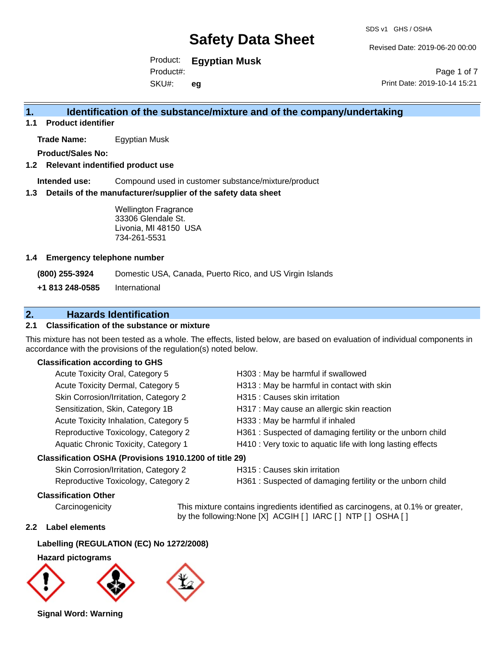Revised Date: 2019-06-20 00:00

Product: **Egyptian Musk**

SKU#: Product#: **eg**

Page 1 of 7 Print Date: 2019-10-14 15:21

# **1. Identification of the substance/mixture and of the company/undertaking**

**1.1 Product identifier**

**Trade Name:** Egyptian Musk

**Product/Sales No:**

#### **1.2 Relevant indentified product use**

**Intended use:** Compound used in customer substance/mixture/product

#### **1.3 Details of the manufacturer/supplier of the safety data sheet**

Wellington Fragrance 33306 Glendale St. Livonia, MI 48150 USA 734-261-5531

#### **1.4 Emergency telephone number**

**(800) 255-3924** Domestic USA, Canada, Puerto Rico, and US Virgin Islands

**+1 813 248-0585** International

# **2. Hazards Identification**

### **2.1 Classification of the substance or mixture**

This mixture has not been tested as a whole. The effects, listed below, are based on evaluation of individual components in accordance with the provisions of the regulation(s) noted below.

#### **Classification according to GHS**

| Acute Toxicity Oral, Category 5                      | H303 : May be harmful if swallowed                          |
|------------------------------------------------------|-------------------------------------------------------------|
| Acute Toxicity Dermal, Category 5                    | H313 : May be harmful in contact with skin                  |
| Skin Corrosion/Irritation, Category 2                | H315 : Causes skin irritation                               |
| Sensitization, Skin, Category 1B                     | H317 : May cause an allergic skin reaction                  |
| Acute Toxicity Inhalation, Category 5                | H333: May be harmful if inhaled                             |
| Reproductive Toxicology, Category 2                  | H361 : Suspected of damaging fertility or the unborn child  |
| Aquatic Chronic Toxicity, Category 1                 | H410 : Very toxic to aquatic life with long lasting effects |
| assification OSHA (Provisions 1910.1200 of title 29) |                                                             |
|                                                      |                                                             |

#### **Classification OSHA (Provisions 1910.1200 of title 29)**

| Skin Corrosion/Irritation, Category 2 |  |
|---------------------------------------|--|
| Reproductive Toxicology, Category 2   |  |

H315 : Causes skin irritation

H361 : Suspected of damaging fertility or the unborn child

#### **Classification Other**

Carcinogenicity This mixture contains ingredients identified as carcinogens, at 0.1% or greater, by the following:None [X] ACGIH [ ] IARC [ ] NTP [ ] OSHA [ ]

#### **2.2 Label elements**

### **Labelling (REGULATION (EC) No 1272/2008)**

#### **Hazard pictograms**



**Signal Word: Warning**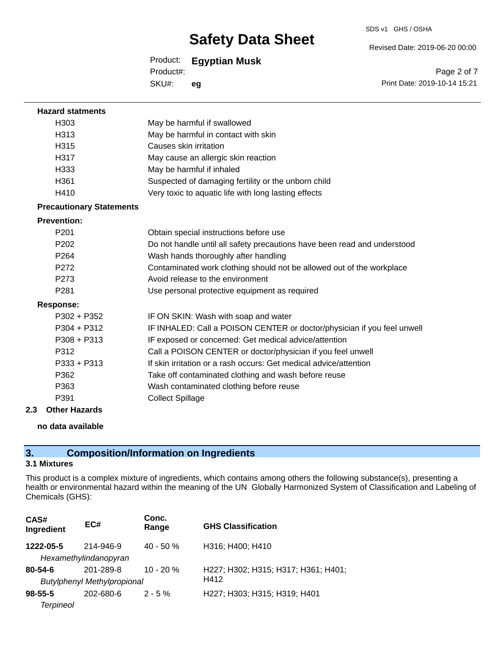#### SDS v1 GHS / OSHA

Revised Date: 2019-06-20 00:00

Product: **Egyptian Musk**

SKU#: Product#: **eg**

Page 2 of 7 Print Date: 2019-10-14 15:21

| <b>Hazard statments</b>         |                                                                          |
|---------------------------------|--------------------------------------------------------------------------|
| H <sub>303</sub>                | May be harmful if swallowed                                              |
| H313                            | May be harmful in contact with skin                                      |
| H315                            | Causes skin irritation                                                   |
| H317                            | May cause an allergic skin reaction                                      |
| H333                            | May be harmful if inhaled                                                |
| H361                            | Suspected of damaging fertility or the unborn child                      |
| H410                            | Very toxic to aquatic life with long lasting effects                     |
| <b>Precautionary Statements</b> |                                                                          |
| <b>Prevention:</b>              |                                                                          |
| P <sub>201</sub>                | Obtain special instructions before use                                   |
| P <sub>202</sub>                | Do not handle until all safety precautions have been read and understood |
| P <sub>264</sub>                | Wash hands thoroughly after handling                                     |
| P272                            | Contaminated work clothing should not be allowed out of the workplace    |
| P273                            | Avoid release to the environment                                         |
| P281                            | Use personal protective equipment as required                            |
| <b>Response:</b>                |                                                                          |
| $P302 + P352$                   | IF ON SKIN: Wash with soap and water                                     |
| $P304 + P312$                   | IF INHALED: Call a POISON CENTER or doctor/physician if you feel unwell  |
| $P308 + P313$                   | IF exposed or concerned: Get medical advice/attention                    |
| P312                            | Call a POISON CENTER or doctor/physician if you feel unwell              |
| $P333 + P313$                   | If skin irritation or a rash occurs: Get medical advice/attention        |
| P362                            | Take off contaminated clothing and wash before reuse                     |
| P363                            | Wash contaminated clothing before reuse                                  |
| P391                            | <b>Collect Spillage</b>                                                  |
| <b>Other Hazards</b><br>2.3     |                                                                          |

#### **no data available**

# **3. Composition/Information on Ingredients**

### **3.1 Mixtures**

This product is a complex mixture of ingredients, which contains among others the following substance(s), presenting a health or environmental hazard within the meaning of the UN Globally Harmonized System of Classification and Labeling of Chemicals (GHS):

| CAS#<br>Ingredient | EC#                                | Conc.<br>Range | <b>GHS Classification</b>           |
|--------------------|------------------------------------|----------------|-------------------------------------|
| 1222-05-5          | 214-946-9                          | $40 - 50%$     | H316; H400; H410                    |
|                    | Hexamethylindanopyran              |                |                                     |
| $80 - 54 - 6$      | 201-289-8                          | $10 - 20 %$    | H227; H302; H315; H317; H361; H401; |
|                    | <b>Butylphenyl Methylpropional</b> |                | H412                                |
| $98 - 55 - 5$      | 202-680-6                          | $2 - 5 \%$     | H227; H303; H315; H319; H401        |
| <b>Terpineol</b>   |                                    |                |                                     |
|                    |                                    |                |                                     |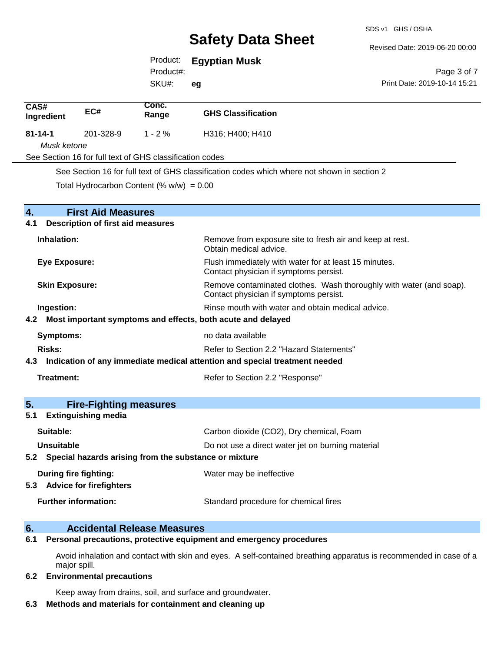Revised Date: 2019-06-20 00:00

Print Date: 2019-10-14 15:21

Page 3 of 7

# Product: **Egyptian Musk**

Product#:

SKU#: **eg**

| CAS#<br>Ingredient    | EC#                                                         | Conc.<br>Range                                           | <b>GHS Classification</b>                                                                                     |
|-----------------------|-------------------------------------------------------------|----------------------------------------------------------|---------------------------------------------------------------------------------------------------------------|
| $81 - 14 - 1$         | 201-328-9                                                   | $1 - 2%$                                                 | H316; H400; H410                                                                                              |
| Musk ketone           |                                                             |                                                          |                                                                                                               |
|                       |                                                             | See Section 16 for full text of GHS classification codes |                                                                                                               |
|                       |                                                             |                                                          | See Section 16 for full text of GHS classification codes which where not shown in section 2                   |
|                       |                                                             | Total Hydrocarbon Content (% $w/w$ ) = 0.00              |                                                                                                               |
| 4.                    | <b>First Aid Measures</b>                                   |                                                          |                                                                                                               |
| 4.1                   | <b>Description of first aid measures</b>                    |                                                          |                                                                                                               |
| Inhalation:           |                                                             |                                                          | Remove from exposure site to fresh air and keep at rest.<br>Obtain medical advice.                            |
| Eye Exposure:         |                                                             |                                                          | Flush immediately with water for at least 15 minutes.<br>Contact physician if symptoms persist.               |
| <b>Skin Exposure:</b> |                                                             |                                                          | Remove contaminated clothes. Wash thoroughly with water (and soap).<br>Contact physician if symptoms persist. |
| Ingestion:            |                                                             |                                                          | Rinse mouth with water and obtain medical advice.                                                             |
|                       |                                                             |                                                          | 4.2 Most important symptoms and effects, both acute and delayed                                               |
| <b>Symptoms:</b>      |                                                             |                                                          | no data available                                                                                             |
| <b>Risks:</b>         |                                                             |                                                          | Refer to Section 2.2 "Hazard Statements"                                                                      |
|                       |                                                             |                                                          | 4.3 Indication of any immediate medical attention and special treatment needed                                |
| Treatment:            |                                                             |                                                          | Refer to Section 2.2 "Response"                                                                               |
| 5.                    | <b>Fire-Fighting measures</b>                               |                                                          |                                                                                                               |
| 5.1                   | <b>Extinguishing media</b>                                  |                                                          |                                                                                                               |
| Suitable:             |                                                             |                                                          | Carbon dioxide (CO2), Dry chemical, Foam                                                                      |
| Unsuitable            |                                                             |                                                          | Do not use a direct water jet on burning material                                                             |
|                       |                                                             |                                                          | 5.2 Special hazards arising from the substance or mixture                                                     |
|                       | <b>During fire fighting:</b><br>5.3 Advice for firefighters |                                                          | Water may be ineffective                                                                                      |
|                       | <b>Further information:</b>                                 |                                                          | Standard procedure for chemical fires                                                                         |

### **6. Accidental Release Measures**

**6.1 Personal precautions, protective equipment and emergency procedures**

Avoid inhalation and contact with skin and eyes. A self-contained breathing apparatus is recommended in case of a major spill.

#### **6.2 Environmental precautions**

Keep away from drains, soil, and surface and groundwater.

#### **6.3 Methods and materials for containment and cleaning up**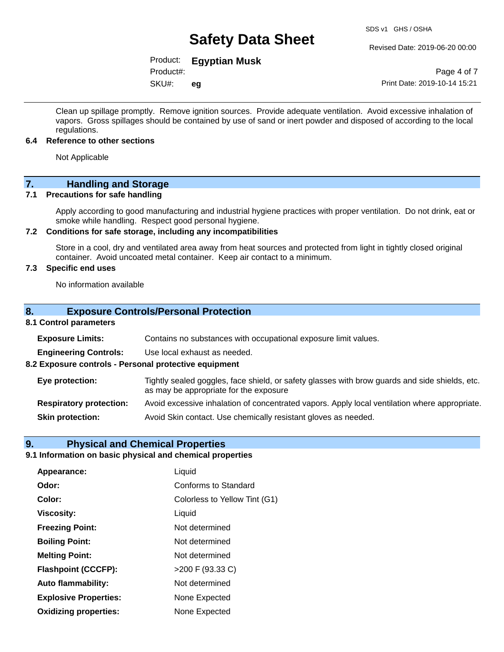#### Revised Date: 2019-06-20 00:00

# Product: **Egyptian Musk**

Product#:

SKU#: **eg**

Page 4 of 7 Print Date: 2019-10-14 15:21

Clean up spillage promptly. Remove ignition sources. Provide adequate ventilation. Avoid excessive inhalation of vapors. Gross spillages should be contained by use of sand or inert powder and disposed of according to the local regulations.

#### **6.4 Reference to other sections**

Not Applicable

# **7. Handling and Storage**

#### **7.1 Precautions for safe handling**

Apply according to good manufacturing and industrial hygiene practices with proper ventilation. Do not drink, eat or smoke while handling. Respect good personal hygiene.

#### **7.2 Conditions for safe storage, including any incompatibilities**

Store in a cool, dry and ventilated area away from heat sources and protected from light in tightly closed original container. Avoid uncoated metal container. Keep air contact to a minimum.

#### **7.3 Specific end uses**

No information available

#### **8. Exposure Controls/Personal Protection**

#### **8.1 Control parameters**

| <b>Exposure Limits:</b>                               | Contains no substances with occupational exposure limit values.                                                                          |
|-------------------------------------------------------|------------------------------------------------------------------------------------------------------------------------------------------|
| <b>Engineering Controls:</b>                          | Use local exhaust as needed.                                                                                                             |
| 8.2 Exposure controls - Personal protective equipment |                                                                                                                                          |
| Eye protection:                                       | Tightly sealed goggles, face shield, or safety glasses with brow guards and side shields, etc.<br>as may be appropriate for the exposure |
| <b>Respiratory protection:</b>                        | Avoid excessive inhalation of concentrated vapors. Apply local ventilation where appropriate.                                            |
| <b>Skin protection:</b>                               | Avoid Skin contact. Use chemically resistant gloves as needed.                                                                           |

#### **9. Physical and Chemical Properties**

### **9.1 Information on basic physical and chemical properties**

| Appearance:                  | Liquid                        |
|------------------------------|-------------------------------|
| Odor:                        | <b>Conforms to Standard</b>   |
| Color:                       | Colorless to Yellow Tint (G1) |
| <b>Viscosity:</b>            | Liquid                        |
| <b>Freezing Point:</b>       | Not determined                |
| <b>Boiling Point:</b>        | Not determined                |
| <b>Melting Point:</b>        | Not determined                |
| <b>Flashpoint (CCCFP):</b>   | >200 F (93.33 C)              |
| <b>Auto flammability:</b>    | Not determined                |
| <b>Explosive Properties:</b> | None Expected                 |
| <b>Oxidizing properties:</b> | None Expected                 |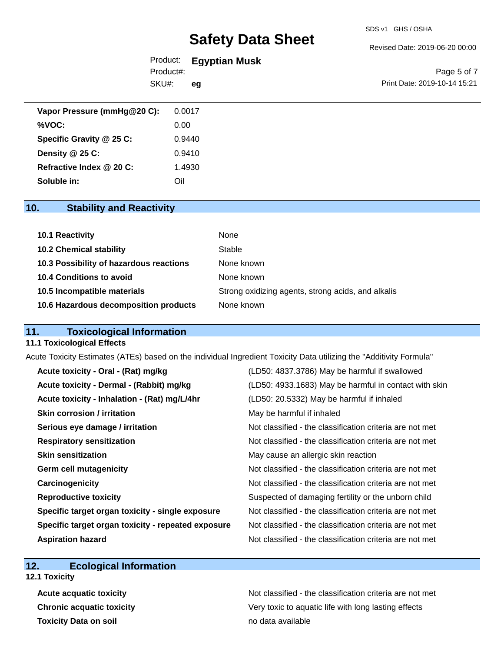#### SDS v1 GHS / OSHA

# **Safety Data Sheet**

#### Revised Date: 2019-06-20 00:00

| Product:  | <b>Egyptian Musk</b> |  |
|-----------|----------------------|--|
| Product#: |                      |  |

SKU#: **eg**

Page 5 of 7 Print Date: 2019-10-14 15:21

| Vapor Pressure (mmHg@20 C): | 0.0017 |
|-----------------------------|--------|
| %VOC:                       | 0.00   |
| Specific Gravity @ 25 C:    | 0.9440 |
| Density $@25C$ :            | 0.9410 |
| Refractive Index @ 20 C:    | 1.4930 |
| Soluble in:                 | Oil    |

# **10. Stability and Reactivity**

| 10.1 Reactivity                         | None                                               |
|-----------------------------------------|----------------------------------------------------|
| <b>10.2 Chemical stability</b>          | Stable                                             |
| 10.3 Possibility of hazardous reactions | None known                                         |
| <b>10.4 Conditions to avoid</b>         | None known                                         |
| 10.5 Incompatible materials             | Strong oxidizing agents, strong acids, and alkalis |
| 10.6 Hazardous decomposition products   | None known                                         |

# **11. Toxicological Information**

#### **11.1 Toxicological Effects**

Acute Toxicity Estimates (ATEs) based on the individual Ingredient Toxicity Data utilizing the "Additivity Formula"

| Acute toxicity - Oral - (Rat) mg/kg                | (LD50: 4837.3786) May be harmful if swallowed            |
|----------------------------------------------------|----------------------------------------------------------|
| Acute toxicity - Dermal - (Rabbit) mg/kg           | (LD50: 4933.1683) May be harmful in contact with skin    |
| Acute toxicity - Inhalation - (Rat) mg/L/4hr       | (LD50: 20.5332) May be harmful if inhaled                |
| <b>Skin corrosion / irritation</b>                 | May be harmful if inhaled                                |
| Serious eye damage / irritation                    | Not classified - the classification criteria are not met |
| <b>Respiratory sensitization</b>                   | Not classified - the classification criteria are not met |
| <b>Skin sensitization</b>                          | May cause an allergic skin reaction                      |
| <b>Germ cell mutagenicity</b>                      | Not classified - the classification criteria are not met |
| Carcinogenicity                                    | Not classified - the classification criteria are not met |
| <b>Reproductive toxicity</b>                       | Suspected of damaging fertility or the unborn child      |
| Specific target organ toxicity - single exposure   | Not classified - the classification criteria are not met |
| Specific target organ toxicity - repeated exposure | Not classified - the classification criteria are not met |
| <b>Aspiration hazard</b>                           | Not classified - the classification criteria are not met |

## **12. Ecological Information**

- **12.1 Toxicity**
	- **Toxicity Data on soil no data available no data available**

Acute acquatic toxicity **Acute acquatic toxicity** Not classified - the classification criteria are not met **Chronic acquatic toxicity Chronic acquatic toxicity** Very toxic to aquatic life with long lasting effects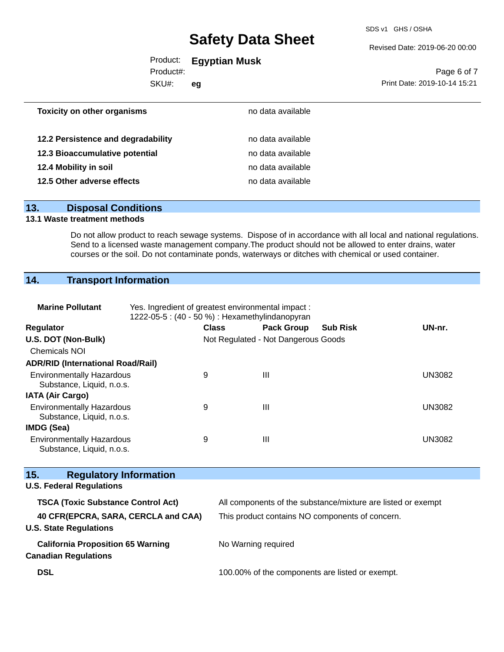SDS v1 GHS / OSHA

#### Revised Date: 2019-06-20 00:00

# Product: **Egyptian Musk**

Product#:

SKU#: **eg**

Page 6 of 7 Print Date: 2019-10-14 15:21

| <b>Toxicity on other organisms</b> | no data available |  |
|------------------------------------|-------------------|--|
| 12.2 Persistence and degradability | no data available |  |
| 12.3 Bioaccumulative potential     | no data available |  |
| 12.4 Mobility in soil              | no data available |  |
| 12.5 Other adverse effects         | no data available |  |
|                                    |                   |  |

## **13. Disposal Conditions**

### **13.1 Waste treatment methods**

Do not allow product to reach sewage systems. Dispose of in accordance with all local and national regulations. Send to a licensed waste management company.The product should not be allowed to enter drains, water courses or the soil. Do not contaminate ponds, waterways or ditches with chemical or used container.

# **14. Transport Information**

| <b>Marine Pollutant</b>                                                 | Yes. Ingredient of greatest environmental impact:<br>1222-05-5: (40 - 50 %) : Hexamethylindanopyran |                                                 |                                     |                                                              |               |
|-------------------------------------------------------------------------|-----------------------------------------------------------------------------------------------------|-------------------------------------------------|-------------------------------------|--------------------------------------------------------------|---------------|
|                                                                         |                                                                                                     |                                                 |                                     |                                                              |               |
| Regulator                                                               |                                                                                                     | <b>Class</b>                                    | <b>Pack Group</b>                   | <b>Sub Risk</b>                                              | UN-nr.        |
| U.S. DOT (Non-Bulk)                                                     |                                                                                                     |                                                 | Not Regulated - Not Dangerous Goods |                                                              |               |
| <b>Chemicals NOI</b>                                                    |                                                                                                     |                                                 |                                     |                                                              |               |
| <b>ADR/RID (International Road/Rail)</b>                                |                                                                                                     |                                                 |                                     |                                                              |               |
| <b>Environmentally Hazardous</b><br>Substance, Liquid, n.o.s.           | 9                                                                                                   |                                                 | $\mathbf{III}$                      |                                                              | <b>UN3082</b> |
| <b>IATA (Air Cargo)</b>                                                 |                                                                                                     |                                                 |                                     |                                                              |               |
| <b>Environmentally Hazardous</b><br>Substance, Liquid, n.o.s.           | 9                                                                                                   |                                                 | III                                 |                                                              | <b>UN3082</b> |
| <b>IMDG (Sea)</b>                                                       |                                                                                                     |                                                 |                                     |                                                              |               |
| <b>Environmentally Hazardous</b>                                        | 9                                                                                                   |                                                 | $\mathbf{III}$                      |                                                              | <b>UN3082</b> |
| Substance, Liquid, n.o.s.                                               |                                                                                                     |                                                 |                                     |                                                              |               |
| 15.<br><b>Regulatory Information</b>                                    |                                                                                                     |                                                 |                                     |                                                              |               |
| <b>U.S. Federal Regulations</b>                                         |                                                                                                     |                                                 |                                     |                                                              |               |
| <b>TSCA (Toxic Substance Control Act)</b>                               |                                                                                                     |                                                 |                                     | All components of the substance/mixture are listed or exempt |               |
| 40 CFR(EPCRA, SARA, CERCLA and CAA)<br><b>U.S. State Regulations</b>    | This product contains NO components of concern.                                                     |                                                 |                                     |                                                              |               |
| <b>California Proposition 65 Warning</b><br><b>Canadian Regulations</b> |                                                                                                     |                                                 | No Warning required                 |                                                              |               |
| <b>DSL</b>                                                              |                                                                                                     | 100.00% of the components are listed or exempt. |                                     |                                                              |               |